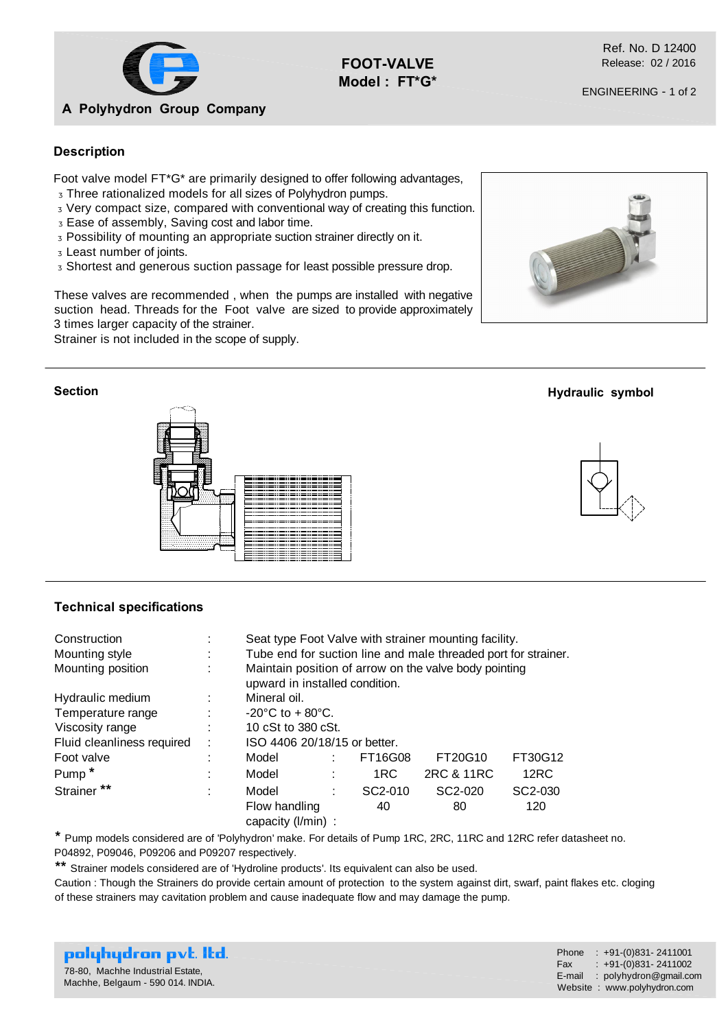

**FOOT-VALVE Model : FT\*G\*** 

Ref. No. D 12400 Release: 02 / 2016

## **Description**

Foot valve model FT\*G\* are primarily designed to offer following advantages, Three rationalized models for all sizes of Polyhydron pumps.

Very compact size, compared with conventional way of creating this function.

Ease of assembly, Saving cost and labor time.

Possibility of mounting an appropriate suction strainer directly on it.

Least number of joints.

Shortest and generous suction passage for least possible pressure drop.

These valves are recommended , when the pumps are installed with negative suction head. Threads for the Foot valve are sized to provide approximately 3 times larger capacity of the strainer.

Strainer is not included in the scope of supply.

## **Section**



## **Technical specifications**

| Construction               | ٠                   | Seat type Foot Valve with strainer mounting facility.                                   |   |         |            |                      |  |  |  |  |
|----------------------------|---------------------|-----------------------------------------------------------------------------------------|---|---------|------------|----------------------|--|--|--|--|
| Mounting style             | ٠<br>$\blacksquare$ | Tube end for suction line and male threaded port for strainer.                          |   |         |            |                      |  |  |  |  |
| Mounting position          | ٠                   | Maintain position of arrow on the valve body pointing<br>upward in installed condition. |   |         |            |                      |  |  |  |  |
| Hydraulic medium           |                     | Mineral oil.                                                                            |   |         |            |                      |  |  |  |  |
| Temperature range          | ÷                   | $-20^{\circ}$ C to $+80^{\circ}$ C.                                                     |   |         |            |                      |  |  |  |  |
| Viscosity range            | ÷                   | 10 cSt to 380 cSt.                                                                      |   |         |            |                      |  |  |  |  |
| Fluid cleanliness required | ÷                   | ISO 4406 20/18/15 or better.                                                            |   |         |            |                      |  |  |  |  |
| Foot valve                 | ٠                   | Model                                                                                   |   | FT16G08 | FT20G10    | FT30G12              |  |  |  |  |
| Pump <sup>*</sup>          | ٠                   | Model                                                                                   |   | 1RC     | 2RC & 11RC | 12RC                 |  |  |  |  |
| Strainer **                | ÷                   | Model                                                                                   | ٠ | SC2-010 | SC2-020    | SC <sub>2</sub> -030 |  |  |  |  |
|                            |                     | Flow handling<br>capacity $(I/min)$ :                                                   |   | 40      | 80         | 120                  |  |  |  |  |

**\*** Pump models considered are of 'Polyhydron' make. For details of Pump 1RC, 2RC, 11RC and 12RC refer datasheet no. P04892, P09046, P09206 and P09207 respectively.

**\*\*** Strainer models considered are of 'Hydroline products'. Its equivalent can also be used.

Caution : Though the Strainers do provide certain amount of protection to the system against dirt, swarf, paint flakes etc. cloging of these strainers may cavitation problem and cause inadequate flow and may damage the pump.

| polyhydron pvt. Itd. .            | Phone : $+91-(0)831-2411001$<br>Fax: +91-(0)831-2411002 |
|-----------------------------------|---------------------------------------------------------|
| 78-80, Machhe Industrial Estate,  | E-mail: polyhydron@gmail.com                            |
| Machhe, Belgaum - 590 014. INDIA. | Website: www.polyhydron.com                             |



**Hydraulic symbol**